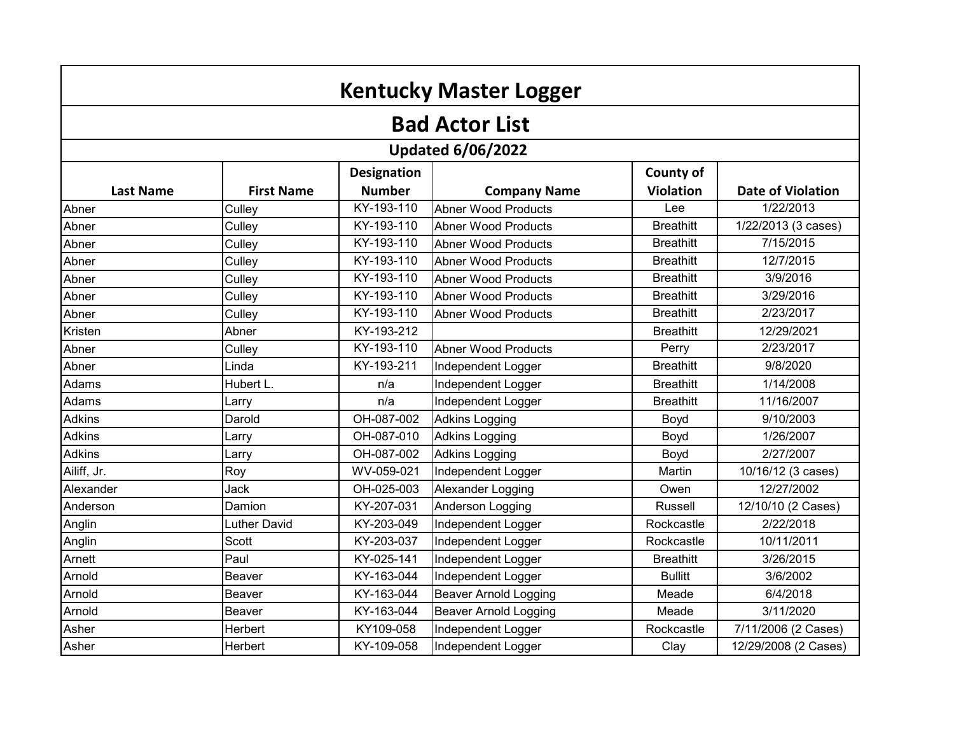| <b>Kentucky Master Logger</b>   |                   |               |                              |                  |                          |  |  |  |  |
|---------------------------------|-------------------|---------------|------------------------------|------------------|--------------------------|--|--|--|--|
| <b>Bad Actor List</b>           |                   |               |                              |                  |                          |  |  |  |  |
| <b>Updated 6/06/2022</b>        |                   |               |                              |                  |                          |  |  |  |  |
| <b>Designation</b><br>County of |                   |               |                              |                  |                          |  |  |  |  |
| <b>Last Name</b>                | <b>First Name</b> | <b>Number</b> | <b>Company Name</b>          | <b>Violation</b> | <b>Date of Violation</b> |  |  |  |  |
| Abner                           | Culley            | KY-193-110    | <b>Abner Wood Products</b>   | Lee              | 1/22/2013                |  |  |  |  |
| Abner                           | Culley            | KY-193-110    | <b>Abner Wood Products</b>   | <b>Breathitt</b> | 1/22/2013 (3 cases)      |  |  |  |  |
| Abner                           | Culley            | KY-193-110    | <b>Abner Wood Products</b>   | <b>Breathitt</b> | 7/15/2015                |  |  |  |  |
| Abner                           | Culley            | KY-193-110    | Abner Wood Products          | <b>Breathitt</b> | 12/7/2015                |  |  |  |  |
| Abner                           | Culley            | KY-193-110    | <b>Abner Wood Products</b>   | <b>Breathitt</b> | 3/9/2016                 |  |  |  |  |
| Abner                           | Culley            | KY-193-110    | <b>Abner Wood Products</b>   | <b>Breathitt</b> | 3/29/2016                |  |  |  |  |
| Abner                           | Culley            | KY-193-110    | Abner Wood Products          | <b>Breathitt</b> | 2/23/2017                |  |  |  |  |
| Kristen                         | Abner             | KY-193-212    |                              | <b>Breathitt</b> | 12/29/2021               |  |  |  |  |
| Abner                           | Culley            | KY-193-110    | <b>Abner Wood Products</b>   | Perry            | 2/23/2017                |  |  |  |  |
| Abner                           | Linda             | KY-193-211    | Independent Logger           | <b>Breathitt</b> | 9/8/2020                 |  |  |  |  |
| Adams                           | Hubert L.         | n/a           | Independent Logger           | <b>Breathitt</b> | 1/14/2008                |  |  |  |  |
| Adams                           | Larry             | n/a           | Independent Logger           | <b>Breathitt</b> | 11/16/2007               |  |  |  |  |
| Adkins                          | Darold            | OH-087-002    | <b>Adkins Logging</b>        | Boyd             | 9/10/2003                |  |  |  |  |
| <b>Adkins</b>                   | Larry             | OH-087-010    | <b>Adkins Logging</b>        | Boyd             | 1/26/2007                |  |  |  |  |
| <b>Adkins</b>                   | Larry             | OH-087-002    | <b>Adkins Logging</b>        | Boyd             | 2/27/2007                |  |  |  |  |
| Ailiff, Jr.                     | Roy               | WV-059-021    | Independent Logger           | Martin           | 10/16/12 (3 cases)       |  |  |  |  |
| Alexander                       | Jack              | OH-025-003    | Alexander Logging            | Owen             | 12/27/2002               |  |  |  |  |
| Anderson                        | Damion            | KY-207-031    | Anderson Logging             | Russell          | 12/10/10 (2 Cases)       |  |  |  |  |
| Anglin                          | Luther David      | KY-203-049    | Independent Logger           | Rockcastle       | 2/22/2018                |  |  |  |  |
| Anglin                          | Scott             | KY-203-037    | Independent Logger           | Rockcastle       | 10/11/2011               |  |  |  |  |
| Arnett                          | Paul              | KY-025-141    | Independent Logger           | <b>Breathitt</b> | 3/26/2015                |  |  |  |  |
| Arnold                          | <b>Beaver</b>     | KY-163-044    | Independent Logger           | <b>Bullitt</b>   | 3/6/2002                 |  |  |  |  |
| Arnold                          | Beaver            | KY-163-044    | Beaver Arnold Logging        | Meade            | 6/4/2018                 |  |  |  |  |
| Arnold                          | Beaver            | KY-163-044    | <b>Beaver Arnold Logging</b> | Meade            | 3/11/2020                |  |  |  |  |
| Asher                           | Herbert           | KY109-058     | Independent Logger           | Rockcastle       | 7/11/2006 (2 Cases)      |  |  |  |  |
| Asher                           | Herbert           | KY-109-058    | Independent Logger           | Clay             | 12/29/2008 (2 Cases)     |  |  |  |  |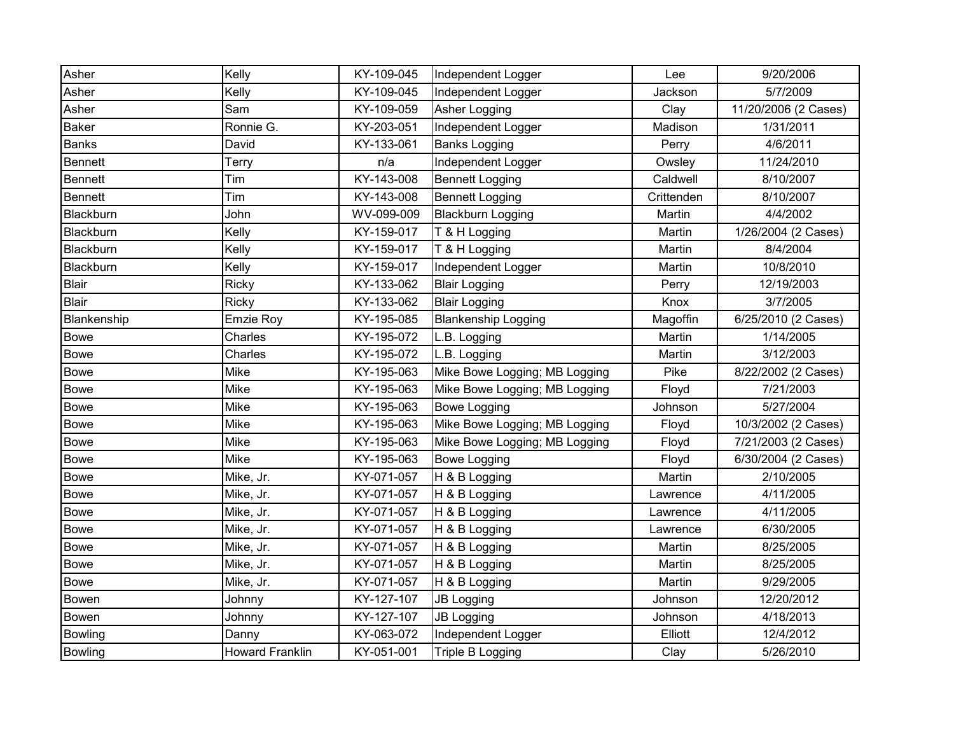| Asher       | Kelly                  | KY-109-045 | Independent Logger            | Lee        | 9/20/2006            |
|-------------|------------------------|------------|-------------------------------|------------|----------------------|
| Asher       | Kelly                  | KY-109-045 | Independent Logger            | Jackson    | 5/7/2009             |
| Asher       | Sam                    | KY-109-059 | Asher Logging                 | Clay       | 11/20/2006 (2 Cases) |
| Baker       | Ronnie G.              | KY-203-051 | Independent Logger            | Madison    | 1/31/2011            |
| Banks       | David                  | KY-133-061 | <b>Banks Logging</b>          | Perry      | 4/6/2011             |
| Bennett     | Terry                  | n/a        | Independent Logger            | Owsley     | 11/24/2010           |
| Bennett     | Tim                    | KY-143-008 | <b>Bennett Logging</b>        | Caldwell   | 8/10/2007            |
| Bennett     | Tim                    | KY-143-008 | <b>Bennett Logging</b>        | Crittenden | 8/10/2007            |
| Blackburn   | John                   | WV-099-009 | <b>Blackburn Logging</b>      | Martin     | 4/4/2002             |
| Blackburn   | Kelly                  | KY-159-017 | T & H Logging                 | Martin     | 1/26/2004 (2 Cases)  |
| Blackburn   | Kelly                  | KY-159-017 | T & H Logging                 | Martin     | 8/4/2004             |
| Blackburn   | Kelly                  | KY-159-017 | Independent Logger            | Martin     | 10/8/2010            |
| Blair       | Ricky                  | KY-133-062 | <b>Blair Logging</b>          | Perry      | 12/19/2003           |
| Blair       | Ricky                  | KY-133-062 | <b>Blair Logging</b>          | Knox       | 3/7/2005             |
| Blankenship | Emzie Roy              | KY-195-085 | <b>Blankenship Logging</b>    | Magoffin   | 6/25/2010 (2 Cases)  |
| <b>Bowe</b> | Charles                | KY-195-072 | L.B. Logging                  | Martin     | 1/14/2005            |
| <b>Bowe</b> | Charles                | KY-195-072 | L.B. Logging                  | Martin     | 3/12/2003            |
| <b>Bowe</b> | Mike                   | KY-195-063 | Mike Bowe Logging; MB Logging | Pike       | 8/22/2002 (2 Cases)  |
| <b>Bowe</b> | Mike                   | KY-195-063 | Mike Bowe Logging; MB Logging | Floyd      | 7/21/2003            |
| <b>Bowe</b> | Mike                   | KY-195-063 | <b>Bowe Logging</b>           | Johnson    | 5/27/2004            |
| <b>Bowe</b> | Mike                   | KY-195-063 | Mike Bowe Logging; MB Logging | Floyd      | 10/3/2002 (2 Cases)  |
| <b>Bowe</b> | Mike                   | KY-195-063 | Mike Bowe Logging; MB Logging | Floyd      | 7/21/2003 (2 Cases)  |
| Bowe        | Mike                   | KY-195-063 | <b>Bowe Logging</b>           | Floyd      | 6/30/2004 (2 Cases)  |
| <b>Bowe</b> | Mike, Jr.              | KY-071-057 | H & B Logging                 | Martin     | 2/10/2005            |
| <b>Bowe</b> | Mike, Jr.              | KY-071-057 | H & B Logging                 | Lawrence   | 4/11/2005            |
| <b>Bowe</b> | Mike, Jr.              | KY-071-057 | H & B Logging                 | Lawrence   | 4/11/2005            |
| <b>Bowe</b> | Mike, Jr.              | KY-071-057 | H & B Logging                 | Lawrence   | 6/30/2005            |
| Bowe        | Mike, Jr.              | KY-071-057 | H & B Logging                 | Martin     | 8/25/2005            |
| <b>Bowe</b> | Mike, Jr.              | KY-071-057 | H & B Logging                 | Martin     | 8/25/2005            |
| Bowe        | Mike, Jr.              | KY-071-057 | H & B Logging                 | Martin     | 9/29/2005            |
| Bowen       | Johnny                 | KY-127-107 | <b>JB Logging</b>             | Johnson    | 12/20/2012           |
| Bowen       | Johnny                 | KY-127-107 | <b>JB Logging</b>             | Johnson    | 4/18/2013            |
| Bowling     | Danny                  | KY-063-072 | Independent Logger            | Elliott    | 12/4/2012            |
| Bowling     | <b>Howard Franklin</b> | KY-051-001 | Triple B Logging              | Clay       | 5/26/2010            |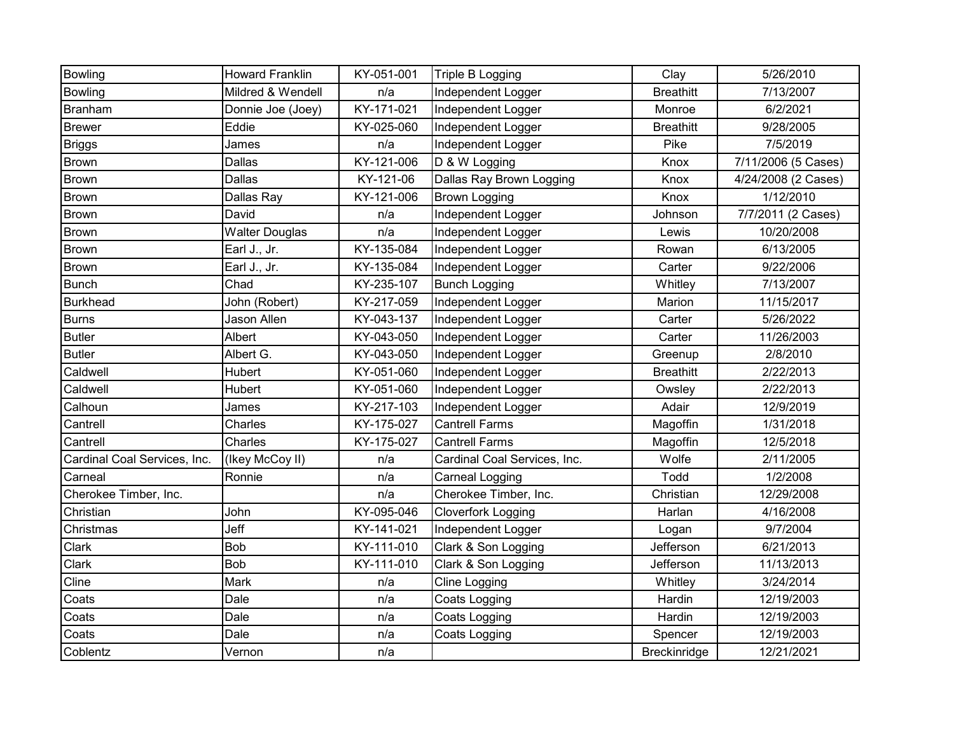| Bowling                      | <b>Howard Franklin</b> | KY-051-001 | Triple B Logging             | Clay             | 5/26/2010           |
|------------------------------|------------------------|------------|------------------------------|------------------|---------------------|
| Bowling                      | Mildred & Wendell      | n/a        | Independent Logger           | <b>Breathitt</b> | 7/13/2007           |
| Branham                      | Donnie Joe (Joey)      | KY-171-021 | Independent Logger           | Monroe           | 6/2/2021            |
| <b>Brewer</b>                | Eddie                  | KY-025-060 | Independent Logger           | <b>Breathitt</b> | 9/28/2005           |
| <b>Briggs</b>                | James                  | n/a        | Independent Logger           | Pike             | 7/5/2019            |
| Brown                        | Dallas                 | KY-121-006 | D & W Logging                | Knox             | 7/11/2006 (5 Cases) |
| Brown                        | Dallas                 | KY-121-06  | Dallas Ray Brown Logging     | Knox             | 4/24/2008 (2 Cases) |
| <b>Brown</b>                 | Dallas Ray             | KY-121-006 | <b>Brown Logging</b>         | Knox             | 1/12/2010           |
| <b>Brown</b>                 | David                  | n/a        | Independent Logger           | Johnson          | 7/7/2011 (2 Cases)  |
| Brown                        | <b>Walter Douglas</b>  | n/a        | Independent Logger           | Lewis            | 10/20/2008          |
| Brown                        | Earl J., Jr.           | KY-135-084 | Independent Logger           | Rowan            | 6/13/2005           |
| Brown                        | Earl J., Jr.           | KY-135-084 | Independent Logger           | Carter           | 9/22/2006           |
| <b>Bunch</b>                 | Chad                   | KY-235-107 | <b>Bunch Logging</b>         | Whitley          | 7/13/2007           |
| <b>Burkhead</b>              | John (Robert)          | KY-217-059 | Independent Logger           | Marion           | 11/15/2017          |
| <b>Burns</b>                 | <b>Jason Allen</b>     | KY-043-137 | Independent Logger           | Carter           | 5/26/2022           |
| <b>Butler</b>                | Albert                 | KY-043-050 | Independent Logger           | Carter           | 11/26/2003          |
| <b>Butler</b>                | Albert G.              | KY-043-050 | Independent Logger           | Greenup          | 2/8/2010            |
| Caldwell                     | Hubert                 | KY-051-060 | Independent Logger           | <b>Breathitt</b> | 2/22/2013           |
| Caldwell                     | Hubert                 | KY-051-060 | Independent Logger           | Owsley           | 2/22/2013           |
| Calhoun                      | James                  | KY-217-103 | Independent Logger           | Adair            | 12/9/2019           |
| Cantrell                     | Charles                | KY-175-027 | <b>Cantrell Farms</b>        | Magoffin         | 1/31/2018           |
| Cantrell                     | Charles                | KY-175-027 | <b>Cantrell Farms</b>        | Magoffin         | 12/5/2018           |
| Cardinal Coal Services, Inc. | (Ikey McCoy II)        | n/a        | Cardinal Coal Services, Inc. | Wolfe            | 2/11/2005           |
| Carneal                      | Ronnie                 | n/a        | Carneal Logging              | Todd             | 1/2/2008            |
| Cherokee Timber, Inc.        |                        | n/a        | Cherokee Timber, Inc.        | Christian        | 12/29/2008          |
| Christian                    | John                   | KY-095-046 | <b>Cloverfork Logging</b>    | Harlan           | 4/16/2008           |
| Christmas                    | Jeff                   | KY-141-021 | Independent Logger           | Logan            | 9/7/2004            |
| Clark                        | Bob                    | KY-111-010 | Clark & Son Logging          | Jefferson        | 6/21/2013           |
| Clark                        | Bob                    | KY-111-010 | Clark & Son Logging          | Jefferson        | 11/13/2013          |
| Cline                        | Mark                   | n/a        | Cline Logging                | Whitley          | 3/24/2014           |
| Coats                        | Dale                   | n/a        | Coats Logging                | Hardin           | 12/19/2003          |
| Coats                        | Dale                   | n/a        | Coats Logging                | Hardin           | 12/19/2003          |
| Coats                        | Dale                   | n/a        | Coats Logging                | Spencer          | 12/19/2003          |
| Coblentz                     | Vernon                 | n/a        |                              | Breckinridge     | 12/21/2021          |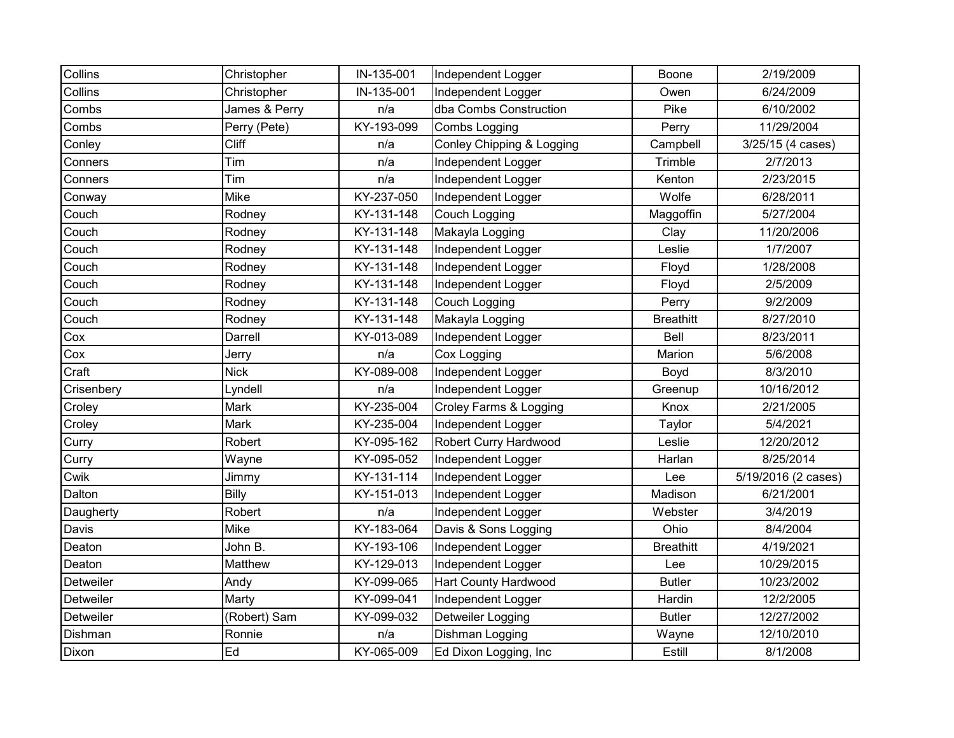| Collins    | Christopher   | IN-135-001 | Independent Logger          | Boone            | 2/19/2009           |
|------------|---------------|------------|-----------------------------|------------------|---------------------|
| Collins    | Christopher   | IN-135-001 | Independent Logger          | Owen             | 6/24/2009           |
|            |               |            |                             |                  |                     |
| Combs      | James & Perry | n/a        | dba Combs Construction      | Pike             | 6/10/2002           |
| Combs      | Perry (Pete)  | KY-193-099 | Combs Logging               | Perry            | 11/29/2004          |
| Conley     | <b>Cliff</b>  | n/a        | Conley Chipping & Logging   | Campbell         | 3/25/15 (4 cases)   |
| Conners    | Tim           | n/a        | Independent Logger          | Trimble          | 2/7/2013            |
| Conners    | Tim           | n/a        | Independent Logger          | Kenton           | 2/23/2015           |
| Conway     | <b>Mike</b>   | KY-237-050 | Independent Logger          | Wolfe            | 6/28/2011           |
| Couch      | Rodney        | KY-131-148 | Couch Logging               | Maggoffin        | 5/27/2004           |
| Couch      | Rodney        | KY-131-148 | Makayla Logging             | Clay             | 11/20/2006          |
| Couch      | Rodney        | KY-131-148 | Independent Logger          | Leslie           | 1/7/2007            |
| Couch      | Rodney        | KY-131-148 | Independent Logger          | Floyd            | 1/28/2008           |
| Couch      | Rodney        | KY-131-148 | Independent Logger          | Floyd            | 2/5/2009            |
| Couch      | Rodney        | KY-131-148 | Couch Logging               | Perry            | 9/2/2009            |
| Couch      | Rodney        | KY-131-148 | Makayla Logging             | <b>Breathitt</b> | 8/27/2010           |
| Cox        | Darrell       | KY-013-089 | Independent Logger          | Bell             | 8/23/2011           |
| Cox        | Jerry         | n/a        | Cox Logging                 | Marion           | 5/6/2008            |
| Craft      | <b>Nick</b>   | KY-089-008 | Independent Logger          | Boyd             | 8/3/2010            |
| Crisenbery | Lyndell       | n/a        | Independent Logger          | Greenup          | 10/16/2012          |
| Croley     | Mark          | KY-235-004 | Croley Farms & Logging      | Knox             | 2/21/2005           |
| Croley     | Mark          | KY-235-004 | Independent Logger          | Taylor           | 5/4/2021            |
| Curry      | Robert        | KY-095-162 | Robert Curry Hardwood       | Leslie           | 12/20/2012          |
| Curry      | Wayne         | KY-095-052 | Independent Logger          | Harlan           | 8/25/2014           |
| Cwik       | Jimmy         | KY-131-114 | Independent Logger          | Lee              | 5/19/2016 (2 cases) |
| Dalton     | Billy         | KY-151-013 | Independent Logger          | Madison          | 6/21/2001           |
| Daugherty  | Robert        | n/a        | Independent Logger          | Webster          | 3/4/2019            |
| Davis      | Mike          | KY-183-064 | Davis & Sons Logging        | Ohio             | 8/4/2004            |
| Deaton     | John B.       | KY-193-106 | Independent Logger          | <b>Breathitt</b> | 4/19/2021           |
| Deaton     | Matthew       | KY-129-013 | Independent Logger          | Lee              | 10/29/2015          |
| Detweiler  | Andy          | KY-099-065 | <b>Hart County Hardwood</b> | <b>Butler</b>    | 10/23/2002          |
| Detweiler  | Marty         | KY-099-041 | Independent Logger          | Hardin           | 12/2/2005           |
| Detweiler  | (Robert) Sam  | KY-099-032 | Detweiler Logging           | <b>Butler</b>    | 12/27/2002          |
| Dishman    | Ronnie        | n/a        | Dishman Logging             | Wayne            | 12/10/2010          |
| Dixon      | Ed            | KY-065-009 | Ed Dixon Logging, Inc       | Estill           | 8/1/2008            |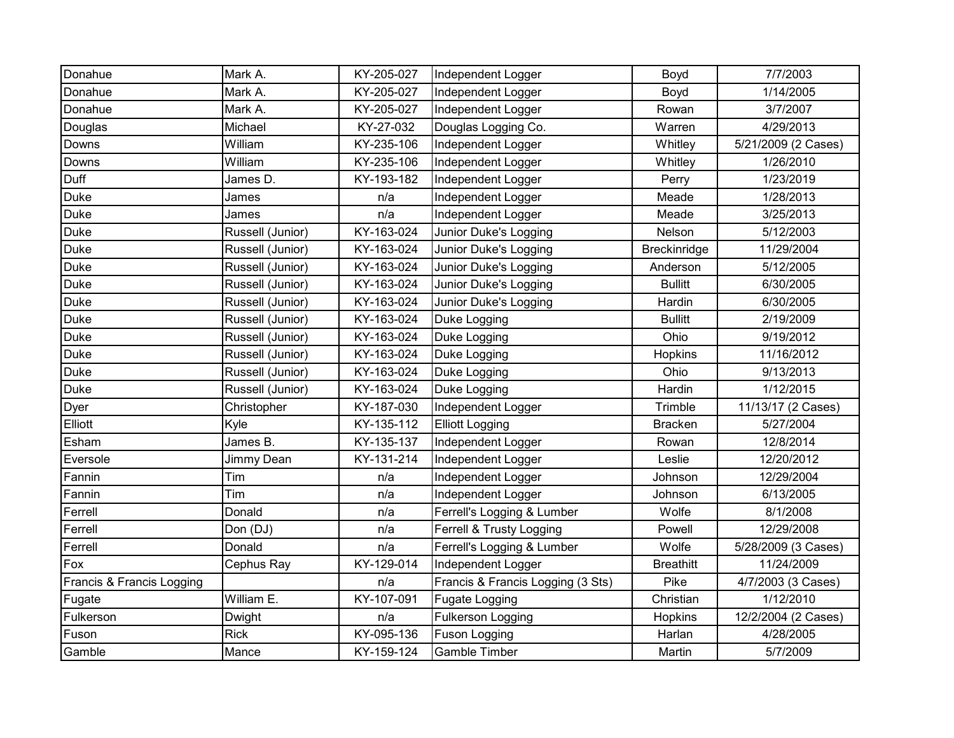| Donahue                   | Mark A.          | KY-205-027 | Independent Logger                | Boyd             | 7/7/2003            |
|---------------------------|------------------|------------|-----------------------------------|------------------|---------------------|
| Donahue                   | Mark A.          | KY-205-027 | Independent Logger                | Boyd             | 1/14/2005           |
| Donahue                   | Mark A.          | KY-205-027 | Independent Logger                | Rowan            | 3/7/2007            |
| Douglas                   | Michael          | KY-27-032  | Douglas Logging Co.               | Warren           | 4/29/2013           |
| Downs                     | William          | KY-235-106 | Independent Logger                | Whitley          | 5/21/2009 (2 Cases) |
| Downs                     | William          | KY-235-106 | Independent Logger                | Whitley          | 1/26/2010           |
| Duff                      | James D.         | KY-193-182 | Independent Logger                | Perry            | 1/23/2019           |
| Duke                      | James            | n/a        | Independent Logger                | Meade            | 1/28/2013           |
| Duke                      | James            | n/a        | Independent Logger                | Meade            | 3/25/2013           |
| Duke                      | Russell (Junior) | KY-163-024 | Junior Duke's Logging             | Nelson           | 5/12/2003           |
| Duke                      | Russell (Junior) | KY-163-024 | Junior Duke's Logging             | Breckinridge     | 11/29/2004          |
| Duke                      | Russell (Junior) | KY-163-024 | Junior Duke's Logging             | Anderson         | 5/12/2005           |
| Duke                      | Russell (Junior) | KY-163-024 | Junior Duke's Logging             | <b>Bullitt</b>   | 6/30/2005           |
| Duke                      | Russell (Junior) | KY-163-024 | Junior Duke's Logging             | Hardin           | 6/30/2005           |
| Duke                      | Russell (Junior) | KY-163-024 | Duke Logging                      | <b>Bullitt</b>   | 2/19/2009           |
| Duke                      | Russell (Junior) | KY-163-024 | Duke Logging                      | Ohio             | 9/19/2012           |
| Duke                      | Russell (Junior) | KY-163-024 | Duke Logging                      | Hopkins          | 11/16/2012          |
| Duke                      | Russell (Junior) | KY-163-024 | Duke Logging                      | Ohio             | 9/13/2013           |
| <b>Duke</b>               | Russell (Junior) | KY-163-024 | Duke Logging                      | Hardin           | 1/12/2015           |
| Dyer                      | Christopher      | KY-187-030 | Independent Logger                | Trimble          | 11/13/17 (2 Cases)  |
| Elliott                   | Kyle             | KY-135-112 | <b>Elliott Logging</b>            | <b>Bracken</b>   | 5/27/2004           |
| Esham                     | James B.         | KY-135-137 | Independent Logger                | Rowan            | 12/8/2014           |
| Eversole                  | Jimmy Dean       | KY-131-214 | Independent Logger                | Leslie           | 12/20/2012          |
| Fannin                    | Tim              | n/a        | Independent Logger                | Johnson          | 12/29/2004          |
| Fannin                    | Tim              | n/a        | Independent Logger                | Johnson          | 6/13/2005           |
| Ferrell                   | Donald           | n/a        | Ferrell's Logging & Lumber        | Wolfe            | 8/1/2008            |
| Ferrell                   | Don (DJ)         | n/a        | Ferrell & Trusty Logging          | Powell           | 12/29/2008          |
| Ferrell                   | Donald           | n/a        | Ferrell's Logging & Lumber        | Wolfe            | 5/28/2009 (3 Cases) |
| Fox                       | Cephus Ray       | KY-129-014 | Independent Logger                | <b>Breathitt</b> | 11/24/2009          |
| Francis & Francis Logging |                  | n/a        | Francis & Francis Logging (3 Sts) | Pike             | 4/7/2003 (3 Cases)  |
| Fugate                    | William E.       | KY-107-091 | Fugate Logging                    | Christian        | 1/12/2010           |
| Fulkerson                 | Dwight           | n/a        | <b>Fulkerson Logging</b>          | Hopkins          | 12/2/2004 (2 Cases) |
| Fuson                     | <b>Rick</b>      | KY-095-136 | <b>Fuson Logging</b>              | Harlan           | 4/28/2005           |
| Gamble                    | Mance            | KY-159-124 | <b>Gamble Timber</b>              | Martin           | 5/7/2009            |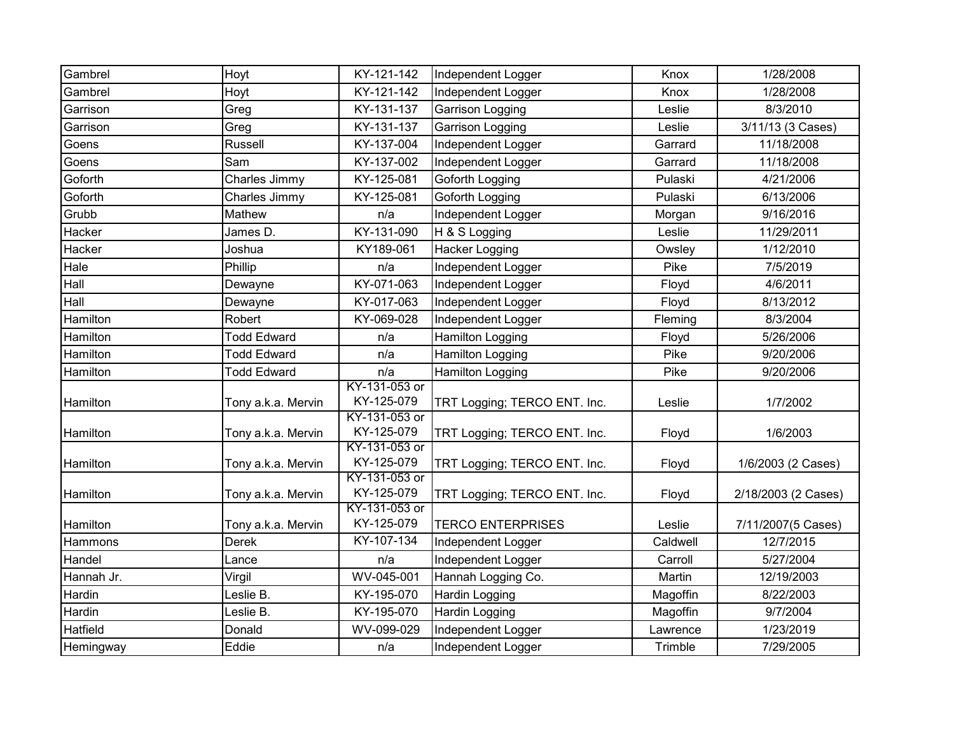| Gambrel    | Hoyt               | KY-121-142                  | Independent Logger           | Knox     | 1/28/2008           |
|------------|--------------------|-----------------------------|------------------------------|----------|---------------------|
| Gambrel    | Hoyt               | KY-121-142                  | Independent Logger           | Knox     | 1/28/2008           |
| Garrison   | Greg               | KY-131-137                  | Garrison Logging             | Leslie   | 8/3/2010            |
| Garrison   | Greg               | KY-131-137                  | Garrison Logging             | Leslie   | 3/11/13 (3 Cases)   |
| Goens      | Russell            | KY-137-004                  | Independent Logger           | Garrard  | 11/18/2008          |
| Goens      | Sam                | KY-137-002                  | Independent Logger           | Garrard  | 11/18/2008          |
| Goforth    | Charles Jimmy      | KY-125-081                  | Goforth Logging              | Pulaski  | 4/21/2006           |
| Goforth    | Charles Jimmy      | KY-125-081                  | Goforth Logging              | Pulaski  | 6/13/2006           |
| Grubb      | Mathew             | n/a                         | Independent Logger           | Morgan   | 9/16/2016           |
| Hacker     | James D.           | KY-131-090                  | H & S Logging                | Leslie   | 11/29/2011          |
| Hacker     | Joshua             | KY189-061                   | <b>Hacker Logging</b>        | Owsley   | 1/12/2010           |
| Hale       | Phillip            | n/a                         | Independent Logger           | Pike     | 7/5/2019            |
| Hall       | Dewayne            | KY-071-063                  | Independent Logger           | Floyd    | 4/6/2011            |
| Hall       | Dewayne            | KY-017-063                  | Independent Logger           | Floyd    | 8/13/2012           |
| Hamilton   | Robert             | KY-069-028                  | Independent Logger           | Fleming  | 8/3/2004            |
| Hamilton   | <b>Todd Edward</b> | n/a                         | <b>Hamilton Logging</b>      | Floyd    | 5/26/2006           |
| Hamilton   | <b>Todd Edward</b> | n/a                         | <b>Hamilton Logging</b>      | Pike     | 9/20/2006           |
| Hamilton   | <b>Todd Edward</b> | n/a                         | Hamilton Logging             | Pike     | 9/20/2006           |
|            |                    | KY-131-053 or               |                              |          |                     |
| Hamilton   | Tony a.k.a. Mervin | KY-125-079                  | TRT Logging; TERCO ENT. Inc. | Leslie   | 1/7/2002            |
|            |                    | KY-131-053 or               |                              |          |                     |
| Hamilton   | Tony a.k.a. Mervin | KY-125-079                  | TRT Logging; TERCO ENT. Inc. | Floyd    | 1/6/2003            |
| Hamilton   | Tony a.k.a. Mervin | KY-131-053 or<br>KY-125-079 | TRT Logging; TERCO ENT. Inc. | Floyd    | 1/6/2003 (2 Cases)  |
|            |                    | KY-131-053 or               |                              |          |                     |
| Hamilton   | Tony a.k.a. Mervin | KY-125-079                  | TRT Logging; TERCO ENT. Inc. | Floyd    | 2/18/2003 (2 Cases) |
|            |                    | KY-131-053 or               |                              |          |                     |
| Hamilton   | Tony a.k.a. Mervin | KY-125-079                  | <b>TERCO ENTERPRISES</b>     | Leslie   | 7/11/2007(5 Cases)  |
| Hammons    | <b>Derek</b>       | KY-107-134                  | Independent Logger           | Caldwell | 12/7/2015           |
| Handel     | Lance              | n/a                         | Independent Logger           | Carroll  | 5/27/2004           |
| Hannah Jr. | Virgil             | WV-045-001                  | Hannah Logging Co.           | Martin   | 12/19/2003          |
| Hardin     | Leslie B.          | KY-195-070                  | <b>Hardin Logging</b>        | Magoffin | 8/22/2003           |
| Hardin     | Leslie B.          | KY-195-070                  | Hardin Logging               | Magoffin | 9/7/2004            |
| Hatfield   | Donald             | WV-099-029                  | Independent Logger           | Lawrence | 1/23/2019           |
| Hemingway  | Eddie              | n/a                         | Independent Logger           | Trimble  | 7/29/2005           |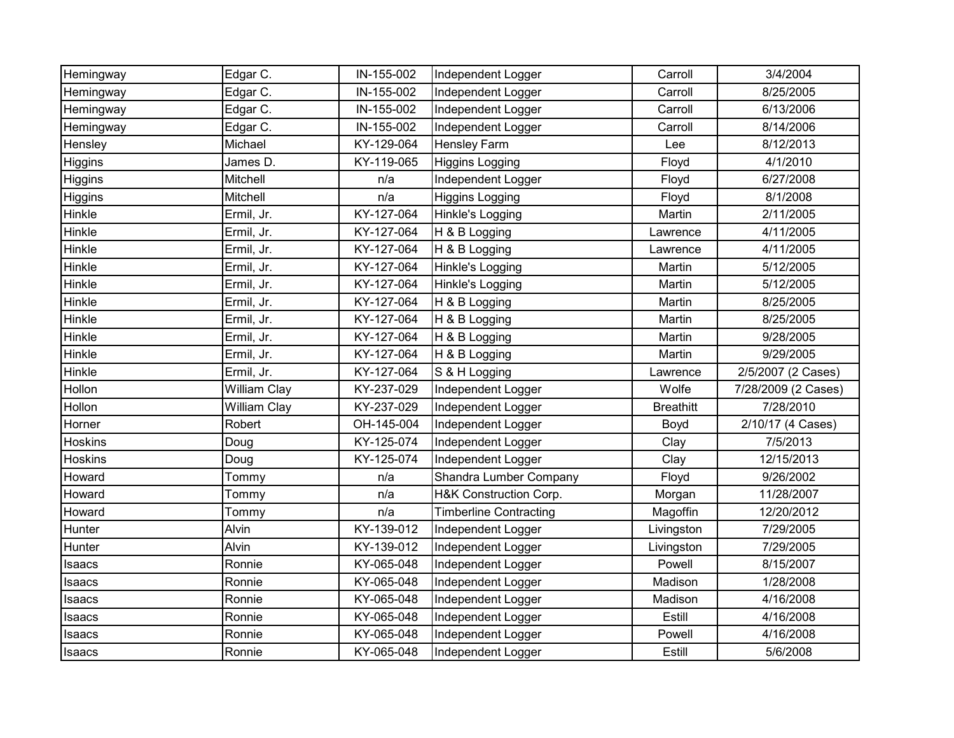| Hemingway      | Edgar C.            | IN-155-002 | Independent Logger            | Carroll          | 3/4/2004            |
|----------------|---------------------|------------|-------------------------------|------------------|---------------------|
| Hemingway      | Edgar C.            | IN-155-002 | Independent Logger            | Carroll          | 8/25/2005           |
| Hemingway      | Edgar C.            | IN-155-002 | Independent Logger            | Carroll          | 6/13/2006           |
| Hemingway      | Edgar C.            | IN-155-002 | Independent Logger            | Carroll          | 8/14/2006           |
| Hensley        | Michael             | KY-129-064 | <b>Hensley Farm</b>           | Lee              | 8/12/2013           |
| Higgins        | James D.            | KY-119-065 | <b>Higgins Logging</b>        | Floyd            | 4/1/2010            |
| Higgins        | Mitchell            | n/a        | Independent Logger            | Floyd            | 6/27/2008           |
| Higgins        | Mitchell            | n/a        | <b>Higgins Logging</b>        | Floyd            | 8/1/2008            |
| Hinkle         | Ermil, Jr.          | KY-127-064 | Hinkle's Logging              | Martin           | 2/11/2005           |
| Hinkle         | Ermil, Jr.          | KY-127-064 | H & B Logging                 | Lawrence         | 4/11/2005           |
| Hinkle         | Ermil, Jr.          | KY-127-064 | H & B Logging                 | Lawrence         | 4/11/2005           |
| Hinkle         | Ermil, Jr.          | KY-127-064 | Hinkle's Logging              | Martin           | 5/12/2005           |
| Hinkle         | Ermil, Jr.          | KY-127-064 | Hinkle's Logging              | Martin           | 5/12/2005           |
| Hinkle         | Ermil, Jr.          | KY-127-064 | H & B Logging                 | Martin           | 8/25/2005           |
| Hinkle         | Ermil, Jr.          | KY-127-064 | H & B Logging                 | Martin           | 8/25/2005           |
| Hinkle         | Ermil, Jr.          | KY-127-064 | H & B Logging                 | Martin           | 9/28/2005           |
| Hinkle         | Ermil, Jr.          | KY-127-064 | H & B Logging                 | Martin           | 9/29/2005           |
|                |                     |            |                               |                  |                     |
| Hinkle         | Ermil, Jr.          | KY-127-064 | S & H Logging                 | Lawrence         | 2/5/2007 (2 Cases)  |
| Hollon         | William Clay        | KY-237-029 | Independent Logger            | Wolfe            | 7/28/2009 (2 Cases) |
| Hollon         | <b>William Clay</b> | KY-237-029 | Independent Logger            | <b>Breathitt</b> | 7/28/2010           |
| Horner         | Robert              | OH-145-004 | Independent Logger            | Boyd             | 2/10/17 (4 Cases)   |
| <b>Hoskins</b> | Doug                | KY-125-074 | Independent Logger            | Clay             | 7/5/2013            |
| <b>Hoskins</b> | Doug                | KY-125-074 | Independent Logger            | Clay             | 12/15/2013          |
| Howard         | Tommy               | n/a        | Shandra Lumber Company        | Floyd            | 9/26/2002           |
| Howard         | Tommy               | n/a        | H&K Construction Corp.        | Morgan           | 11/28/2007          |
| Howard         | Tommy               | n/a        | <b>Timberline Contracting</b> | Magoffin         | 12/20/2012          |
| Hunter         | Alvin               | KY-139-012 | Independent Logger            | Livingston       | 7/29/2005           |
| Hunter         | Alvin               | KY-139-012 | Independent Logger            | Livingston       | 7/29/2005           |
| Isaacs         | Ronnie              | KY-065-048 | Independent Logger            | Powell           | 8/15/2007           |
| Isaacs         | Ronnie              | KY-065-048 | Independent Logger            | Madison          | 1/28/2008           |
| Isaacs         | Ronnie              | KY-065-048 | Independent Logger            | Madison          | 4/16/2008           |
| Isaacs         | Ronnie              | KY-065-048 | Independent Logger            | Estill           | 4/16/2008           |
| Isaacs         | Ronnie              | KY-065-048 | Independent Logger            | Powell           | 4/16/2008           |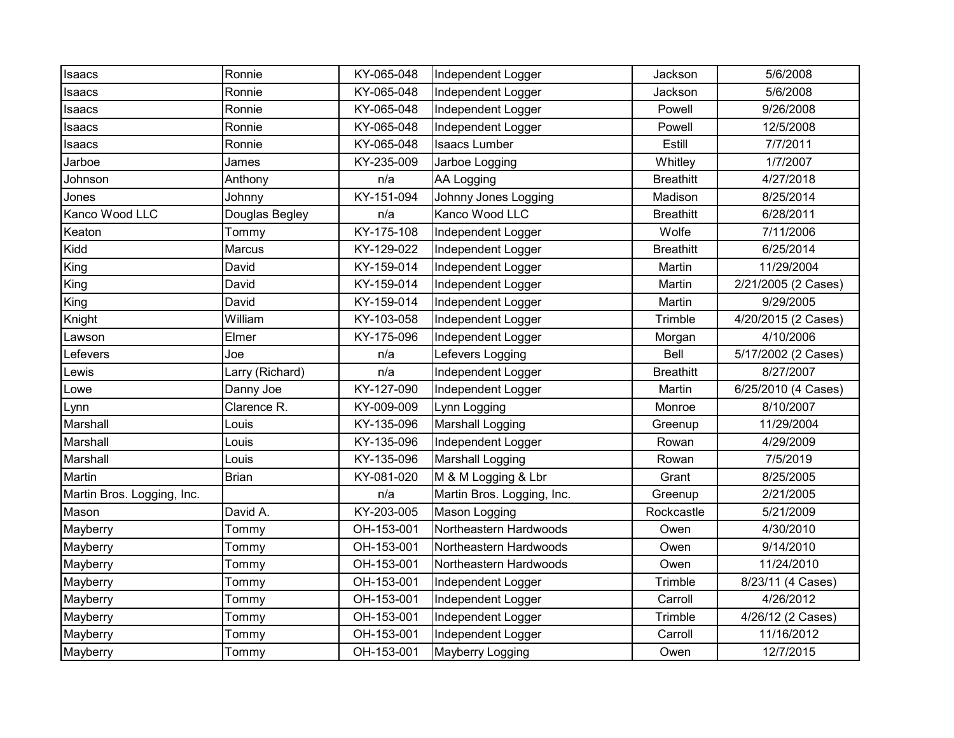| Isaacs                     | Ronnie          | KY-065-048 | Independent Logger         | Jackson          | 5/6/2008            |
|----------------------------|-----------------|------------|----------------------------|------------------|---------------------|
| Isaacs                     | Ronnie          | KY-065-048 | Independent Logger         | Jackson          | 5/6/2008            |
| Isaacs                     | Ronnie          | KY-065-048 | Independent Logger         | Powell           | 9/26/2008           |
| Isaacs                     | Ronnie          | KY-065-048 | Independent Logger         | Powell           | 12/5/2008           |
| Isaacs                     | Ronnie          | KY-065-048 | <b>Isaacs Lumber</b>       | Estill           | 7/7/2011            |
| Jarboe                     | James           | KY-235-009 | Jarboe Logging             | Whitley          | 1/7/2007            |
| Johnson                    | Anthony         | n/a        | AA Logging                 | <b>Breathitt</b> | 4/27/2018           |
| Jones                      | Johnny          | KY-151-094 | Johnny Jones Logging       | Madison          | 8/25/2014           |
| Kanco Wood LLC             | Douglas Begley  | n/a        | Kanco Wood LLC             | <b>Breathitt</b> | 6/28/2011           |
| Keaton                     | Tommy           | KY-175-108 | Independent Logger         | Wolfe            | 7/11/2006           |
| Kidd                       | Marcus          | KY-129-022 | Independent Logger         | <b>Breathitt</b> | 6/25/2014           |
| King                       | David           | KY-159-014 | Independent Logger         | Martin           | 11/29/2004          |
| King                       | David           | KY-159-014 | Independent Logger         | Martin           | 2/21/2005 (2 Cases) |
| King                       | David           | KY-159-014 | Independent Logger         | Martin           | 9/29/2005           |
| Knight                     | William         | KY-103-058 | Independent Logger         | Trimble          | 4/20/2015 (2 Cases) |
| Lawson                     | Elmer           | KY-175-096 | Independent Logger         | Morgan           | 4/10/2006           |
| Lefevers                   | Joe             | n/a        | Lefevers Logging           | Bell             | 5/17/2002 (2 Cases) |
| Lewis                      | Larry (Richard) | n/a        | Independent Logger         | <b>Breathitt</b> | 8/27/2007           |
| Lowe                       | Danny Joe       | KY-127-090 | Independent Logger         | Martin           | 6/25/2010 (4 Cases) |
| Lynn                       | Clarence R.     | KY-009-009 | Lynn Logging               | Monroe           | 8/10/2007           |
| Marshall                   | Louis           | KY-135-096 | <b>Marshall Logging</b>    | Greenup          | 11/29/2004          |
| Marshall                   | Louis           | KY-135-096 | Independent Logger         | Rowan            | 4/29/2009           |
| Marshall                   | Louis           | KY-135-096 | <b>Marshall Logging</b>    | Rowan            | 7/5/2019            |
| Martin                     | <b>Brian</b>    | KY-081-020 | M & M Logging & Lbr        | Grant            | 8/25/2005           |
| Martin Bros. Logging, Inc. |                 | n/a        | Martin Bros. Logging, Inc. | Greenup          | 2/21/2005           |
| Mason                      | David A.        | KY-203-005 | Mason Logging              | Rockcastle       | 5/21/2009           |
| Mayberry                   | Tommy           | OH-153-001 | Northeastern Hardwoods     | Owen             | 4/30/2010           |
| Mayberry                   | Tommy           | OH-153-001 | Northeastern Hardwoods     | Owen             | 9/14/2010           |
| Mayberry                   | Tommy           | OH-153-001 | Northeastern Hardwoods     | Owen             | 11/24/2010          |
| Mayberry                   | Tommy           | OH-153-001 | Independent Logger         | Trimble          | 8/23/11 (4 Cases)   |
| Mayberry                   | Tommy           | OH-153-001 | Independent Logger         | Carroll          | 4/26/2012           |
| Mayberry                   | Tommy           | OH-153-001 | Independent Logger         | Trimble          | 4/26/12 (2 Cases)   |
| Mayberry                   | Tommy           | OH-153-001 | Independent Logger         | Carroll          | 11/16/2012          |
| Mayberry                   | Tommy           | OH-153-001 | Mayberry Logging           | Owen             | 12/7/2015           |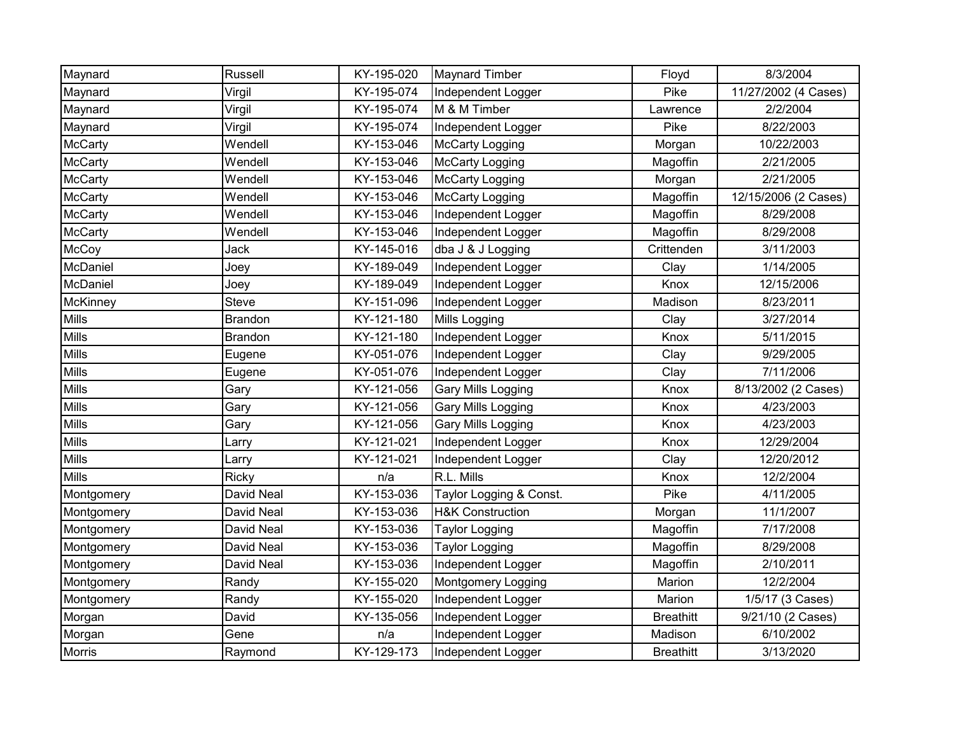| Maynard        | Russell        | KY-195-020 | <b>Maynard Timber</b>       | Floyd            | 8/3/2004             |
|----------------|----------------|------------|-----------------------------|------------------|----------------------|
| Maynard        | Virgil         | KY-195-074 | Independent Logger          | Pike             | 11/27/2002 (4 Cases) |
| Maynard        | Virgil         | KY-195-074 | M & M Timber                | Lawrence         | 2/2/2004             |
| Maynard        | Virgil         | KY-195-074 | Independent Logger          | Pike             | 8/22/2003            |
| <b>McCarty</b> | Wendell        | KY-153-046 | McCarty Logging             | Morgan           | 10/22/2003           |
| <b>McCarty</b> | Wendell        | KY-153-046 | McCarty Logging             | Magoffin         | 2/21/2005            |
| <b>McCarty</b> | Wendell        | KY-153-046 | <b>McCarty Logging</b>      | Morgan           | 2/21/2005            |
| <b>McCarty</b> | Wendell        | KY-153-046 | <b>McCarty Logging</b>      | Magoffin         | 12/15/2006 (2 Cases) |
| McCarty        | Wendell        | KY-153-046 | Independent Logger          | Magoffin         | 8/29/2008            |
| <b>McCarty</b> | Wendell        | KY-153-046 | Independent Logger          | Magoffin         | 8/29/2008            |
| McCoy          | Jack           | KY-145-016 | dba J & J Logging           | Crittenden       | 3/11/2003            |
| McDaniel       | Joey           | KY-189-049 | Independent Logger          | Clay             | 1/14/2005            |
| McDaniel       | Joey           | KY-189-049 | Independent Logger          | Knox             | 12/15/2006           |
| McKinney       | <b>Steve</b>   | KY-151-096 | Independent Logger          | Madison          | 8/23/2011            |
| <b>Mills</b>   | <b>Brandon</b> | KY-121-180 | Mills Logging               | Clay             | 3/27/2014            |
| <b>Mills</b>   | <b>Brandon</b> | KY-121-180 | Independent Logger          | Knox             | 5/11/2015            |
| Mills          | Eugene         | KY-051-076 | Independent Logger          | Clay             | 9/29/2005            |
| <b>Mills</b>   | Eugene         | KY-051-076 | Independent Logger          | Clay             | 7/11/2006            |
| Mills          | Gary           | KY-121-056 | <b>Gary Mills Logging</b>   | Knox             | 8/13/2002 (2 Cases)  |
| Mills          | Gary           | KY-121-056 | <b>Gary Mills Logging</b>   | Knox             | 4/23/2003            |
| Mills          | Gary           | KY-121-056 | <b>Gary Mills Logging</b>   | Knox             | 4/23/2003            |
| <b>Mills</b>   | Larry          | KY-121-021 | Independent Logger          | Knox             | 12/29/2004           |
| <b>Mills</b>   | Larry          | KY-121-021 | Independent Logger          | Clay             | 12/20/2012           |
| <b>Mills</b>   | Ricky          | n/a        | R.L. Mills                  | Knox             | 12/2/2004            |
| Montgomery     | David Neal     | KY-153-036 | Taylor Logging & Const.     | Pike             | 4/11/2005            |
| Montgomery     | David Neal     | KY-153-036 | <b>H&amp;K Construction</b> | Morgan           | 11/1/2007            |
| Montgomery     | David Neal     | KY-153-036 | <b>Taylor Logging</b>       | Magoffin         | 7/17/2008            |
| Montgomery     | David Neal     | KY-153-036 | <b>Taylor Logging</b>       | Magoffin         | 8/29/2008            |
| Montgomery     | David Neal     | KY-153-036 | Independent Logger          | Magoffin         | 2/10/2011            |
| Montgomery     | Randy          | KY-155-020 | <b>Montgomery Logging</b>   | Marion           | 12/2/2004            |
| Montgomery     | Randy          | KY-155-020 | Independent Logger          | Marion           | 1/5/17 (3 Cases)     |
| Morgan         | David          | KY-135-056 | Independent Logger          | <b>Breathitt</b> | 9/21/10 (2 Cases)    |
| Morgan         | Gene           | n/a        | Independent Logger          | Madison          | 6/10/2002            |
| Morris         | Raymond        | KY-129-173 | Independent Logger          | <b>Breathitt</b> | 3/13/2020            |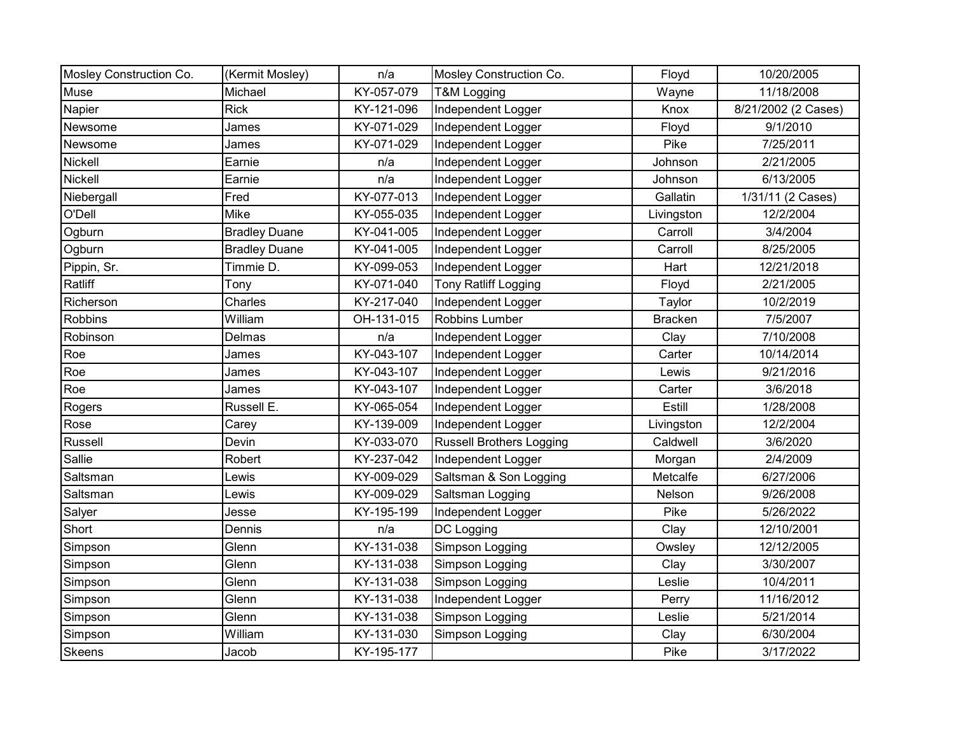| Mosley Construction Co. | (Kermit Mosley)      | n/a        | Mosley Construction Co.         | Floyd          | 10/20/2005          |
|-------------------------|----------------------|------------|---------------------------------|----------------|---------------------|
| Muse                    | Michael              | KY-057-079 | T&M Logging                     | Wayne          | 11/18/2008          |
| Napier                  | <b>Rick</b>          | KY-121-096 | Independent Logger              | Knox           | 8/21/2002 (2 Cases) |
| Newsome                 | James                | KY-071-029 | Independent Logger              | Floyd          | 9/1/2010            |
| Newsome                 | James                | KY-071-029 | Independent Logger              | Pike           | 7/25/2011           |
| Nickell                 | Earnie               | n/a        | Independent Logger              | Johnson        | 2/21/2005           |
| Nickell                 | Earnie               | n/a        | Independent Logger              | Johnson        | 6/13/2005           |
| Niebergall              | Fred                 | KY-077-013 | Independent Logger              | Gallatin       | 1/31/11 (2 Cases)   |
| O'Dell                  | <b>Mike</b>          | KY-055-035 | Independent Logger              | Livingston     | 12/2/2004           |
| Ogburn                  | <b>Bradley Duane</b> | KY-041-005 | Independent Logger              | Carroll        | 3/4/2004            |
| Ogburn                  | <b>Bradley Duane</b> | KY-041-005 | Independent Logger              | Carroll        | 8/25/2005           |
| Pippin, Sr.             | Timmie D.            | KY-099-053 | Independent Logger              | Hart           | 12/21/2018          |
| Ratliff                 | Tony                 | KY-071-040 | <b>Tony Ratliff Logging</b>     | Floyd          | 2/21/2005           |
| Richerson               | Charles              | KY-217-040 | Independent Logger              | Taylor         | 10/2/2019           |
| Robbins                 | William              | OH-131-015 | Robbins Lumber                  | <b>Bracken</b> | 7/5/2007            |
| Robinson                | Delmas               | n/a        | Independent Logger              | Clay           | 7/10/2008           |
| Roe                     | James                | KY-043-107 | Independent Logger              | Carter         | 10/14/2014          |
| Roe                     | James                | KY-043-107 | Independent Logger              | Lewis          | 9/21/2016           |
| Roe                     | James                | KY-043-107 | Independent Logger              | Carter         | 3/6/2018            |
| Rogers                  | Russell E.           | KY-065-054 | Independent Logger              | Estill         | 1/28/2008           |
| Rose                    | Carey                | KY-139-009 | Independent Logger              | Livingston     | 12/2/2004           |
| Russell                 | Devin                | KY-033-070 | <b>Russell Brothers Logging</b> | Caldwell       | 3/6/2020            |
| Sallie                  | Robert               | KY-237-042 | Independent Logger              | Morgan         | 2/4/2009            |
| Saltsman                | Lewis                | KY-009-029 | Saltsman & Son Logging          | Metcalfe       | 6/27/2006           |
| Saltsman                | Lewis                | KY-009-029 | Saltsman Logging                | Nelson         | 9/26/2008           |
| Salyer                  | Jesse                | KY-195-199 | Independent Logger              | Pike           | 5/26/2022           |
| Short                   | Dennis               | n/a        | DC Logging                      | Clay           | 12/10/2001          |
| Simpson                 | Glenn                | KY-131-038 | Simpson Logging                 | Owsley         | 12/12/2005          |
| Simpson                 | Glenn                | KY-131-038 | Simpson Logging                 | Clay           | 3/30/2007           |
| Simpson                 | Glenn                | KY-131-038 | Simpson Logging                 | Leslie         | 10/4/2011           |
| Simpson                 | Glenn                | KY-131-038 | Independent Logger              | Perry          | 11/16/2012          |
| Simpson                 | Glenn                | KY-131-038 | Simpson Logging                 | Leslie         | 5/21/2014           |
| Simpson                 | William              | KY-131-030 | Simpson Logging                 | Clay           | 6/30/2004           |
| <b>Skeens</b>           | Jacob                | KY-195-177 |                                 | Pike           | 3/17/2022           |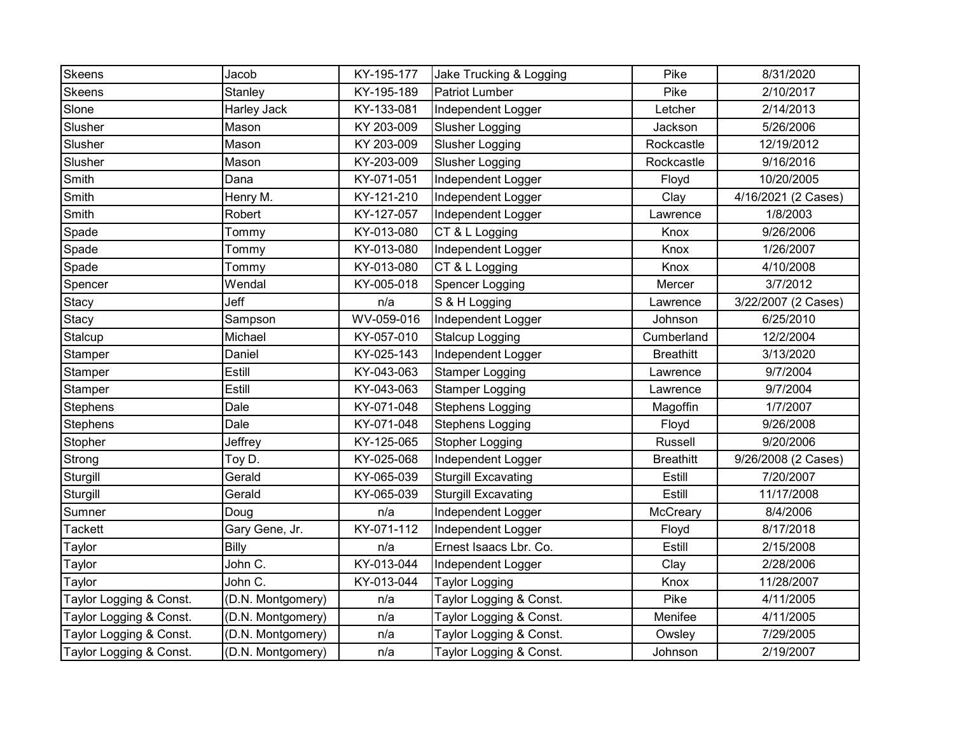| Skeens                  | Jacob              | KY-195-177 | Jake Trucking & Logging    | Pike             | 8/31/2020           |
|-------------------------|--------------------|------------|----------------------------|------------------|---------------------|
| Skeens                  | Stanley            | KY-195-189 | <b>Patriot Lumber</b>      | Pike             | 2/10/2017           |
| Slone                   | <b>Harley Jack</b> | KY-133-081 | Independent Logger         | Letcher          | 2/14/2013           |
| Slusher                 | Mason              | KY 203-009 | Slusher Logging            | Jackson          | 5/26/2006           |
| Slusher                 | Mason              | KY 203-009 | <b>Slusher Logging</b>     | Rockcastle       | 12/19/2012          |
| Slusher                 | Mason              | KY-203-009 | Slusher Logging            | Rockcastle       | 9/16/2016           |
| Smith                   | Dana               | KY-071-051 | Independent Logger         | Floyd            | 10/20/2005          |
| Smith                   | Henry M.           | KY-121-210 | Independent Logger         | Clay             | 4/16/2021 (2 Cases) |
| Smith                   | Robert             | KY-127-057 | Independent Logger         | Lawrence         | 1/8/2003            |
| Spade                   | Tommy              | KY-013-080 | CT & L Logging             | Knox             | 9/26/2006           |
| Spade                   | Tommy              | KY-013-080 | Independent Logger         | Knox             | 1/26/2007           |
| Spade                   | Tommy              | KY-013-080 | CT & L Logging             | Knox             | 4/10/2008           |
| Spencer                 | Wendal             | KY-005-018 | Spencer Logging            | Mercer           | 3/7/2012            |
| Stacy                   | Jeff               | n/a        | S & H Logging              | Lawrence         | 3/22/2007 (2 Cases) |
| Stacy                   | Sampson            | WV-059-016 | Independent Logger         | Johnson          | 6/25/2010           |
| Stalcup                 | Michael            | KY-057-010 | <b>Stalcup Logging</b>     | Cumberland       | 12/2/2004           |
| Stamper                 | Daniel             | KY-025-143 | Independent Logger         | <b>Breathitt</b> | 3/13/2020           |
| Stamper                 | Estill             | KY-043-063 | <b>Stamper Logging</b>     | Lawrence         | 9/7/2004            |
| Stamper                 | Estill             | KY-043-063 | <b>Stamper Logging</b>     | Lawrence         | 9/7/2004            |
| Stephens                | Dale               | KY-071-048 | <b>Stephens Logging</b>    | Magoffin         | 1/7/2007            |
| Stephens                | Dale               | KY-071-048 | Stephens Logging           | Floyd            | 9/26/2008           |
| Stopher                 | Jeffrey            | KY-125-065 | <b>Stopher Logging</b>     | Russell          | 9/20/2006           |
| Strong                  | Toy D.             | KY-025-068 | Independent Logger         | <b>Breathitt</b> | 9/26/2008 (2 Cases) |
| Sturgill                | Gerald             | KY-065-039 | <b>Sturgill Excavating</b> | Estill           | 7/20/2007           |
| Sturgill                | Gerald             | KY-065-039 | <b>Sturgill Excavating</b> | Estill           | 11/17/2008          |
| Sumner                  | Doug               | n/a        | Independent Logger         | McCreary         | 8/4/2006            |
| Tackett                 | Gary Gene, Jr.     | KY-071-112 | Independent Logger         | Floyd            | 8/17/2018           |
| Taylor                  | Billy              | n/a        | Ernest Isaacs Lbr. Co.     | Estill           | 2/15/2008           |
| Taylor                  | John C.            | KY-013-044 | Independent Logger         | Clay             | 2/28/2006           |
| Taylor                  | John C.            | KY-013-044 | <b>Taylor Logging</b>      | Knox             | 11/28/2007          |
| Taylor Logging & Const. | (D.N. Montgomery)  | n/a        | Taylor Logging & Const.    | Pike             | 4/11/2005           |
| Taylor Logging & Const. | (D.N. Montgomery)  | n/a        | Taylor Logging & Const.    | Menifee          | 4/11/2005           |
| Taylor Logging & Const. | (D.N. Montgomery)  | n/a        | Taylor Logging & Const.    | Owsley           | 7/29/2005           |
| Taylor Logging & Const. | (D.N. Montgomery)  | n/a        | Taylor Logging & Const.    | Johnson          | 2/19/2007           |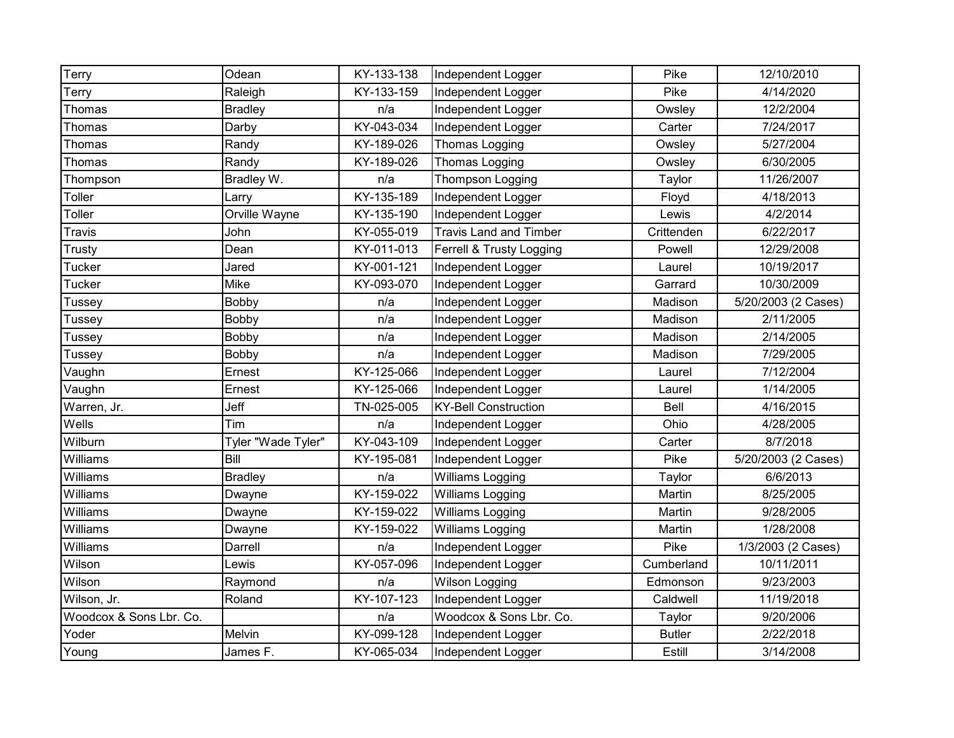| Terry                   | Odean              | KY-133-138 | Independent Logger            | Pike          | 12/10/2010          |
|-------------------------|--------------------|------------|-------------------------------|---------------|---------------------|
| Terry                   | Raleigh            | KY-133-159 | Independent Logger            | Pike          | 4/14/2020           |
| Thomas                  | <b>Bradley</b>     | n/a        | Independent Logger            | Owsley        | 12/2/2004           |
| Thomas                  | Darby              | KY-043-034 | Independent Logger            | Carter        | 7/24/2017           |
| Thomas                  | Randy              | KY-189-026 | Thomas Logging                | Owsley        | 5/27/2004           |
| Thomas                  | Randy              | KY-189-026 | Thomas Logging                | Owsley        | 6/30/2005           |
| Thompson                | Bradley W.         | n/a        | <b>Thompson Logging</b>       | Taylor        | 11/26/2007          |
| Toller                  | Larry              | KY-135-189 | Independent Logger            | Floyd         | 4/18/2013           |
| Toller                  | Orville Wayne      | KY-135-190 | Independent Logger            | Lewis         | 4/2/2014            |
| Travis                  | John               | KY-055-019 | <b>Travis Land and Timber</b> | Crittenden    | 6/22/2017           |
| Trusty                  | Dean               | KY-011-013 | Ferrell & Trusty Logging      | Powell        | 12/29/2008          |
| Tucker                  | Jared              | KY-001-121 | Independent Logger            | Laurel        | 10/19/2017          |
| Tucker                  | Mike               | KY-093-070 | Independent Logger            | Garrard       | 10/30/2009          |
| Tussey                  | Bobby              | n/a        | Independent Logger            | Madison       | 5/20/2003 (2 Cases) |
| <b>Tussey</b>           | Bobby              | n/a        | Independent Logger            | Madison       | 2/11/2005           |
| Tussey                  | Bobby              | n/a        | Independent Logger            | Madison       | 2/14/2005           |
| <b>Tussey</b>           | Bobby              | n/a        | Independent Logger            | Madison       | 7/29/2005           |
| Vaughn                  | Ernest             | KY-125-066 | Independent Logger            | Laurel        | 7/12/2004           |
| Vaughn                  | Ernest             | KY-125-066 | Independent Logger            | Laurel        | 1/14/2005           |
| Warren, Jr.             | Jeff               | TN-025-005 | <b>KY-Bell Construction</b>   | Bell          | 4/16/2015           |
| Wells                   | Tim                | n/a        | Independent Logger            | Ohio          | 4/28/2005           |
| Wilburn                 | Tyler "Wade Tyler" | KY-043-109 | Independent Logger            | Carter        | 8/7/2018            |
| Williams                | Bill               | KY-195-081 | Independent Logger            | Pike          | 5/20/2003 (2 Cases) |
| Williams                | <b>Bradley</b>     | n/a        | Williams Logging              | Taylor        | 6/6/2013            |
| Williams                | Dwayne             | KY-159-022 | Williams Logging              | Martin        | 8/25/2005           |
| Williams                | Dwayne             | KY-159-022 | Williams Logging              | Martin        | 9/28/2005           |
| Williams                | Dwayne             | KY-159-022 | Williams Logging              | Martin        | 1/28/2008           |
| Williams                | Darrell            | n/a        | Independent Logger            | Pike          | 1/3/2003 (2 Cases)  |
| Wilson                  | Lewis              | KY-057-096 | Independent Logger            | Cumberland    | 10/11/2011          |
| Wilson                  | Raymond            | n/a        | Wilson Logging                | Edmonson      | 9/23/2003           |
| Wilson, Jr.             | Roland             | KY-107-123 | Independent Logger            | Caldwell      | 11/19/2018          |
| Woodcox & Sons Lbr. Co. |                    | n/a        | Woodcox & Sons Lbr. Co.       | Taylor        | 9/20/2006           |
| Yoder                   | Melvin             | KY-099-128 | Independent Logger            | <b>Butler</b> | 2/22/2018           |
| Young                   | James F.           | KY-065-034 | Independent Logger            | Estill        | 3/14/2008           |